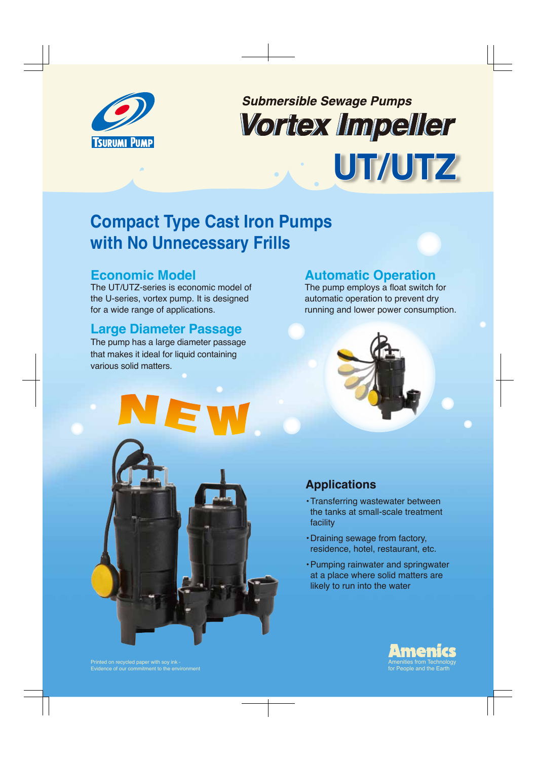

# **Submersible Sewage Pumps** Vortex Impeller **UT/UTZ**

## **Compact Type Cast Iron Pumps with No Unnecessary Frills**

## **Economic Model**

The UT/UTZ-series is economic model of the U-series, vortex pump. It is designed for a wide range of applications.

## **Large Diameter Passage**

The pump has a large diameter passage that makes it ideal for liquid containing various solid matters.

## **Automatic Operation**

The pump employs a float switch for automatic operation to prevent dry running and lower power consumption.





## **Applications**

- Transferring wastewater between the tanks at small-scale treatment facility
- Draining sewage from factory, residence, hotel, restaurant, etc.
- Pumping rainwater and springwater at a place where solid matters are likely to run into the water